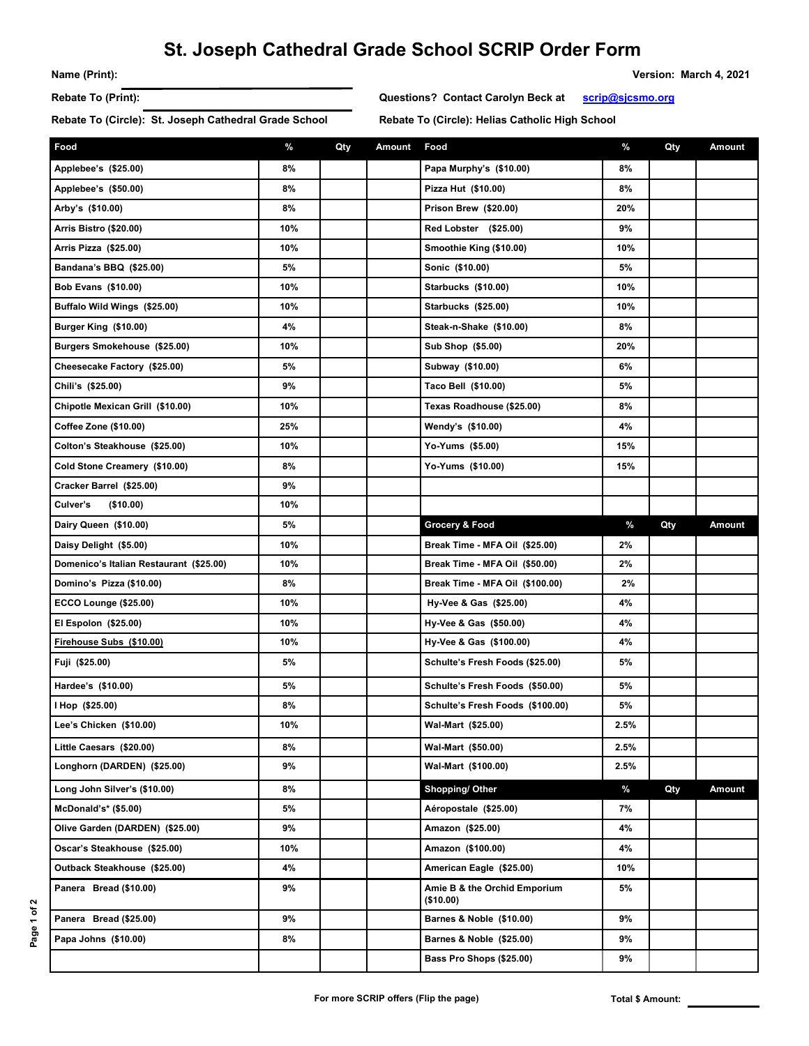## **St. Joseph Cathedral Grade School SCRIP Order Form**

**Name (Print): Version: March 4, 2021** 

Rebate To (Circle): St. Joseph Cathedral Grade School Rebate To (Circle): Helias Catholic High School

**Rebate To (Print): Questions? Contact Carolyn Beck at scrip@sjcsmo.org**

| Food                                    | %   | Qty | Amount | Food                                       | %    | Qty | Amount |
|-----------------------------------------|-----|-----|--------|--------------------------------------------|------|-----|--------|
| Applebee's (\$25.00)                    | 8%  |     |        | Papa Murphy's (\$10.00)                    | 8%   |     |        |
| Applebee's (\$50.00)                    | 8%  |     |        | Pizza Hut (\$10.00)                        | 8%   |     |        |
| Arby's (\$10.00)                        | 8%  |     |        | Prison Brew (\$20.00)                      | 20%  |     |        |
| Arris Bistro (\$20.00)                  | 10% |     |        | Red Lobster (\$25.00)                      | 9%   |     |        |
| Arris Pizza (\$25.00)                   | 10% |     |        | Smoothie King (\$10.00)                    | 10%  |     |        |
| Bandana's BBQ (\$25.00)                 | 5%  |     |        | Sonic (\$10.00)                            | 5%   |     |        |
| <b>Bob Evans (\$10.00)</b>              | 10% |     |        | <b>Starbucks (\$10.00)</b>                 | 10%  |     |        |
| Buffalo Wild Wings (\$25.00)            | 10% |     |        | <b>Starbucks (\$25.00)</b>                 | 10%  |     |        |
| Burger King (\$10.00)                   | 4%  |     |        | Steak-n-Shake (\$10.00)                    | 8%   |     |        |
| Burgers Smokehouse (\$25.00)            | 10% |     |        | Sub Shop (\$5.00)                          | 20%  |     |        |
| Cheesecake Factory (\$25.00)            | 5%  |     |        | Subway (\$10.00)                           | 6%   |     |        |
| Chili's (\$25.00)                       | 9%  |     |        | Taco Bell (\$10.00)                        | 5%   |     |        |
| Chipotle Mexican Grill (\$10.00)        | 10% |     |        | Texas Roadhouse (\$25.00)                  | 8%   |     |        |
| <b>Coffee Zone (\$10.00)</b>            | 25% |     |        | Wendy's (\$10.00)                          | 4%   |     |        |
| Colton's Steakhouse (\$25.00)           | 10% |     |        | Yo-Yums (\$5.00)                           | 15%  |     |        |
| Cold Stone Creamery (\$10.00)           | 8%  |     |        | Yo-Yums (\$10.00)                          | 15%  |     |        |
| Cracker Barrel (\$25.00)                | 9%  |     |        |                                            |      |     |        |
| Culver's<br>( \$10.00)                  | 10% |     |        |                                            |      |     |        |
| Dairy Queen (\$10.00)                   | 5%  |     |        | Grocery & Food                             | $\%$ | Qty | Amount |
| Daisy Delight (\$5.00)                  | 10% |     |        | Break Time - MFA Oil (\$25.00)             | 2%   |     |        |
| Domenico's Italian Restaurant (\$25.00) | 10% |     |        | Break Time - MFA Oil (\$50.00)             | 2%   |     |        |
| Domino's Pizza (\$10.00)                | 8%  |     |        | Break Time - MFA Oil (\$100.00)            | 2%   |     |        |
| <b>ECCO Lounge (\$25.00)</b>            | 10% |     |        | Hy-Vee & Gas (\$25.00)                     | 4%   |     |        |
| El Espolon (\$25.00)                    | 10% |     |        | Hy-Vee & Gas (\$50.00)                     | 4%   |     |        |
| Firehouse Subs (\$10.00)                | 10% |     |        | Hy-Vee & Gas (\$100.00)                    | 4%   |     |        |
| Fuji (\$25.00)                          | 5%  |     |        | Schulte's Fresh Foods (\$25.00)            | 5%   |     |        |
| Hardee's (\$10.00)                      | 5%  |     |        | Schulte's Fresh Foods (\$50.00)            | 5%   |     |        |
| I Hop (\$25.00)                         | 8%  |     |        | Schulte's Fresh Foods (\$100.00)           | 5%   |     |        |
| Lee's Chicken (\$10.00)                 | 10% |     |        | Wal-Mart (\$25.00)                         | 2.5% |     |        |
| Little Caesars (\$20.00)                | 8%  |     |        | Wal-Mart (\$50.00)                         | 2.5% |     |        |
| Longhorn (DARDEN) (\$25.00)             | 9%  |     |        | Wal-Mart (\$100.00)                        | 2.5% |     |        |
| Long John Silver's (\$10.00)            | 8%  |     |        | Shopping/ Other                            | %    | Qty | Amount |
| McDonald's* (\$5.00)                    | 5%  |     |        | Aéropostale (\$25.00)                      | 7%   |     |        |
| Olive Garden (DARDEN) (\$25.00)         | 9%  |     |        | Amazon (\$25.00)                           | 4%   |     |        |
| Oscar's Steakhouse (\$25.00)            | 10% |     |        | Amazon (\$100.00)                          | 4%   |     |        |
| Outback Steakhouse (\$25.00)            | 4%  |     |        | American Eagle (\$25.00)                   | 10%  |     |        |
| Panera Bread (\$10.00)                  | 9%  |     |        | Amie B & the Orchid Emporium<br>( \$10.00) | 5%   |     |        |
| Panera Bread (\$25.00)                  | 9%  |     |        | Barnes & Noble (\$10.00)                   | 9%   |     |        |
| Papa Johns (\$10.00)                    | 8%  |     |        | Barnes & Noble (\$25.00)                   | 9%   |     |        |
|                                         |     |     |        | Bass Pro Shops (\$25.00)                   | 9%   |     |        |